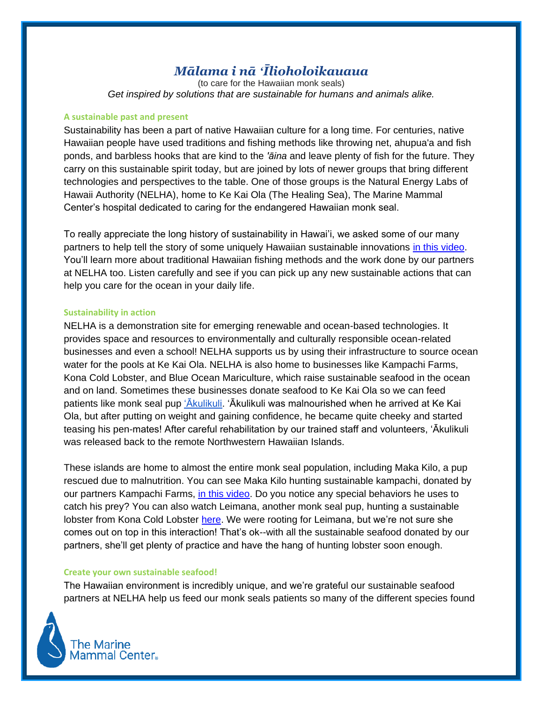# *Mālama i nā ʻĪlioholoikauaua*

(to care for the Hawaiian monk seals) *Get inspired by solutions that are sustainable for humans and animals alike.*

#### **A sustainable past and present**

Sustainability has been a part of native Hawaiian culture for a long time. For centuries, native Hawaiian people have used traditions and fishing methods like throwing net, ahupua'a and fish ponds, and barbless hooks that are kind to the *'āina* and leave plenty of fish for the future. They carry on this sustainable spirit today, but are joined by lots of newer groups that bring different technologies and perspectives to the table. One of those groups is the Natural Energy Labs of Hawaii Authority (NELHA), home to Ke Kai Ola (The Healing Sea), The Marine Mammal Center's hospital dedicated to caring for the endangered Hawaiian monk seal.

To really appreciate the long history of sustainability in Hawai'i, we asked some of our many partners to help tell the story of some uniquely Hawaiian sustainable innovations [in this video.](https://www.youtube.com/watch?v=jei2SFvQWU0) You'll learn more about traditional Hawaiian fishing methods and the work done by our partners at NELHA too. Listen carefully and see if you can pick up any new sustainable actions that can help you care for the ocean in your daily life.

#### **Sustainability in action**

NELHA is a demonstration site for emerging renewable and ocean-based technologies. It provides space and resources to environmentally and culturally responsible ocean-related businesses and even a school! NELHA supports us by using their infrastructure to source ocean water for the pools at Ke Kai Ola. NELHA is also home to businesses like Kampachi Farms, Kona Cold Lobster, and Blue Ocean Mariculture, which raise sustainable seafood in the ocean and on land. Sometimes these businesses donate seafood to Ke Kai Ola so we can feed patients like monk seal pup ['Ākulikuli.](http://tmmc.marinemammalcenter.org/site/Ecommerce/1087472506?VIEW_PRODUCT=true&product_id=4713&store_id=2584) 'Ākulikuli was malnourished when he arrived at Ke Kai Ola, but after putting on weight and gaining confidence, he became quite cheeky and started teasing his pen-mates! After careful rehabilitation by our trained staff and volunteers, 'Ākulikuli was released back to the remote Northwestern Hawaiian Islands.

These islands are home to almost the entire monk seal population, including Maka Kilo, a pup rescued due to malnutrition. You can see Maka Kilo hunting sustainable kampachi, donated by our partners Kampachi Farms, [in this video.](https://www.youtube.com/watch?v=ZeLsxSOpL1w) Do you notice any special behaviors he uses to catch his prey? You can also watch Leimana, another monk seal pup, hunting a sustainable lobster from Kona Cold Lobster [here.](https://www.youtube.com/watch?v=DBjMcOZw3oE) We were rooting for Leimana, but we're not sure she comes out on top in this interaction! That's ok--with all the sustainable seafood donated by our partners, she'll get plenty of practice and have the hang of hunting lobster soon enough.

## **Create your own sustainable seafood!**

The Hawaiian environment is incredibly unique, and we're grateful our sustainable seafood partners at NELHA help us feed our monk seals patients so many of the different species found

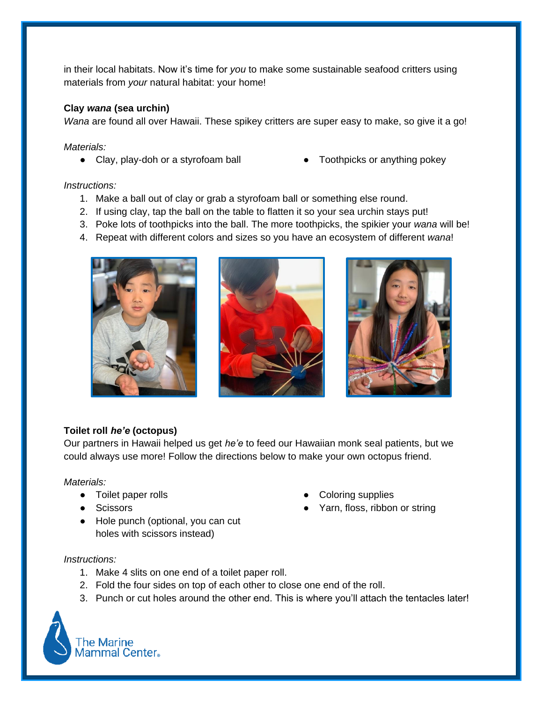in their local habitats. Now it's time for *you* to make some sustainable seafood critters using materials from *your* natural habitat: your home!

## **Clay** *wana* **(sea urchin)**

*Wana* are found all over Hawaii. These spikey critters are super easy to make, so give it a go!

*Materials:* 

- Clay, play-doh or a styrofoam ball Toothpicks or anything pokey
	-

#### *Instructions:*

- 1. Make a ball out of clay or grab a styrofoam ball or something else round.
- 2. If using clay, tap the ball on the table to flatten it so your sea urchin stays put!
- 3. Poke lots of toothpicks into the ball. The more toothpicks, the spikier your *wana* will be!
- 4. Repeat with different colors and sizes so you have an ecosystem of different *wana*!



## **Toilet roll** *he'e* **(octopus)**

Our partners in Hawaii helped us get *he'e* to feed our Hawaiian monk seal patients, but we could always use more! Follow the directions below to make your own octopus friend.

#### *Materials:*

- Toilet paper rolls
- Scissors
- Hole punch (optional, you can cut holes with scissors instead)
- **Coloring supplies**
- Yarn, floss, ribbon or string

#### *Instructions:*

- 1. Make 4 slits on one end of a toilet paper roll.
- 2. Fold the four sides on top of each other to close one end of the roll.
- 3. Punch or cut holes around the other end. This is where you'll attach the tentacles later!

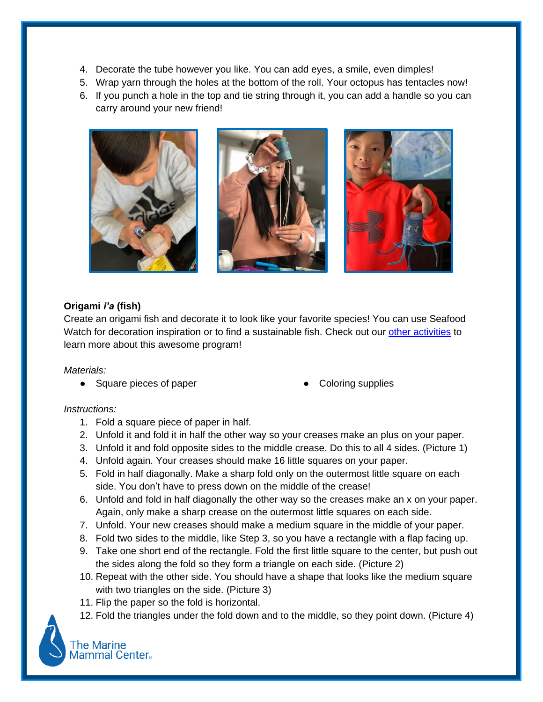- 4. Decorate the tube however you like. You can add eyes, a smile, even dimples!
- 5. Wrap yarn through the holes at the bottom of the roll. Your octopus has tentacles now!
- 6. If you punch a hole in the top and tie string through it, you can add a handle so you can carry around your new friend!



# **Origami** *i'a* **(fish)**

Create an origami fish and decorate it to look like your favorite species! You can use Seafood Watch for decoration inspiration or to find a sustainable fish. Check out our other [activities](https://www.marinemammalcenter.org/education/adults-families/online-learning-resources) to learn more about this awesome program!

## *Materials:*

- Square pieces of paper <br>● Coloring supplies
	-

# *Instructions:*

- 1. Fold a square piece of paper in half.
- 2. Unfold it and fold it in half the other way so your creases make an plus on your paper.
- 3. Unfold it and fold opposite sides to the middle crease. Do this to all 4 sides. (Picture 1)
- 4. Unfold again. Your creases should make 16 little squares on your paper.
- 5. Fold in half diagonally. Make a sharp fold only on the outermost little square on each side. You don't have to press down on the middle of the crease!
- 6. Unfold and fold in half diagonally the other way so the creases make an x on your paper. Again, only make a sharp crease on the outermost little squares on each side.
- 7. Unfold. Your new creases should make a medium square in the middle of your paper.
- 8. Fold two sides to the middle, like Step 3, so you have a rectangle with a flap facing up.
- 9. Take one short end of the rectangle. Fold the first little square to the center, but push out the sides along the fold so they form a triangle on each side. (Picture 2)
- 10. Repeat with the other side. You should have a shape that looks like the medium square with two triangles on the side. (Picture 3)
- 11. Flip the paper so the fold is horizontal.
- 12. Fold the triangles under the fold down and to the middle, so they point down. (Picture 4)

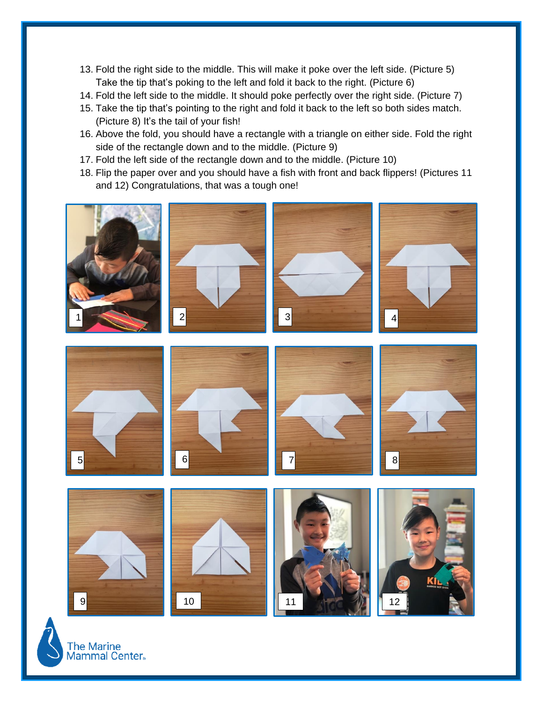- 13. Fold the right side to the middle. This will make it poke over the left side. (Picture 5) Take the tip that's poking to the left and fold it back to the right. (Picture 6)
- 14. Fold the left side to the middle. It should poke perfectly over the right side. (Picture 7)
- 15. Take the tip that's pointing to the right and fold it back to the left so both sides match. (Picture 8) It's the tail of your fish!
- 16. Above the fold, you should have a rectangle with a triangle on either side. Fold the right side of the rectangle down and to the middle. (Picture 9)
- 17. Fold the left side of the rectangle down and to the middle. (Picture 10)
- 18. Flip the paper over and you should have a fish with front and back flippers! (Pictures 11 and 12) Congratulations, that was a tough one!













T<mark>he Marine</mark><br>Mammal Center.